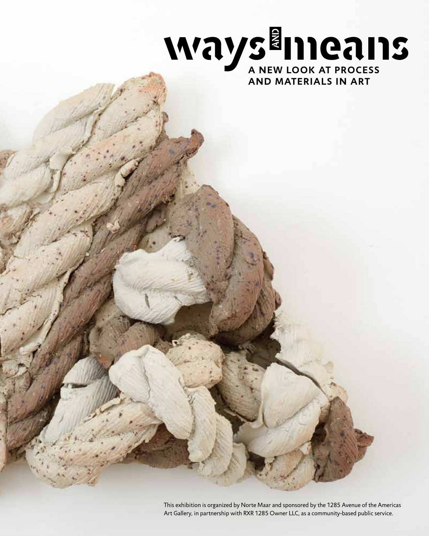

This exhibition is organized by Norte Maar and sponsored by the 1285 Avenue of the Americas Art Gallery, in partnership with RXR 1285 Owner LLC, as a community-based public service.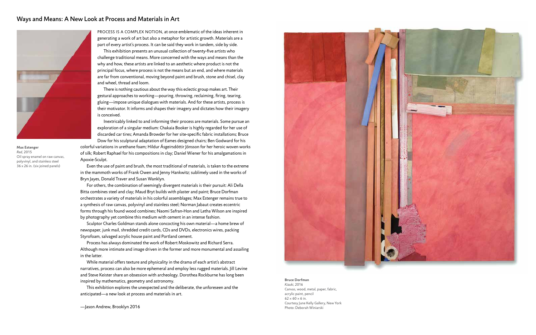PROCESS IS A COMPLEX NOTION, at once emblematic of the ideas inherent in generating a work of art but also a metaphor for artistic growth. Materials are a part of every artist's process. It can be said they work in tandem, side by side.

This exhibition presents an unusual collection of twenty-five artists who challenge traditional means. More concerned with the ways and means than the why and how, these artists are linked to an aesthetic where product is not the principal focus, where process is not the means but an end, and where materials are far from conventional, moving beyond paint and brush, stone and chisel, clay and wheel, thread and loom.

There is nothing cautious about the way this eclectic group makes art. Their gestural approaches to working—pouring, throwing, reclaiming, firing, tearing, gluing—impose unique dialogues with materials. And for these artists, process is their motivator. It informs and shapes their imagery and dictates how their imagery is conceived.

Inextricably linked to and informing their process are materials. Some pursue an exploration of a singular medium: Chakaia Booker is highly regarded for her use of discarded car tires; Amanda Browder for her site-specific fabric installations; Bruce Dow for his sculptural adaptation of Eames designed chairs; Ben Godward for his

colorful variations in urethane foam; Hildur Ásgeirsdóttir Jónsson for her heroic woven works of silk; Robert Raphael for his compositions in clay; Daniel Wiener for his amalgamations in Apoxie-Sculpt.

Even the use of paint and brush, the most traditional of materials, is taken to the extreme in the mammoth works of Frank Owen and Jenny Hankwitz; sublimely used in the works of Bryn Jayes, Donald Traver and Susan Wanklyn.

For others, the combination of seemingly divergent materials is their pursuit: Ali Della Bitta combines steel and clay; Maud Bryt builds with plaster and paint; Bruce Dorfman orchestrates a variety of materials in his colorful assemblages; Max Estenger remains true to a synthesis of raw canvas, polyvinyl and stainless steel; Norman Jabaut creates eccentric forms through his found wood combines; Naomi Safran-Hon and Letha Wilson are inspired by photography yet combine this medium with cement in an intense fashion.

Sculptor Charles Goldman stands alone concocting his own material—a home brew of newspaper, junk mail, shredded credit cards, CDs and DVDs, electronics wires, packing Styrofoam, salvaged acrylic house paint and Portland cement.

Process has always dominated the work of Robert Moskowitz and Richard Serra. Although more intimate and image driven in the former and more monumental and assailing in the latter.

While material offers texture and physicality in the drama of each artist's abstract narratives, process can also be more ephemeral and employ less rugged materials. Jill Levine and Steve Keister share an obsession with archeology. Dorothea Rockburne has long been inspired by mathematics, geometry and astronomy.

This exhibition explores the unexpected and the deliberate, the unforeseen and the anticipated—a new look at process and materials in art.

—Jason Andrew, Brooklyn 2016



# Ways and Means: A New Look at Process and Materials in Art



**Max Estenger** *Red*, 2015 Oil spray enamel on raw canvas, polyvinyl, and stainless steel 36 x 26 in. (six joined panels)

**Bruce Dorfman** *Kizuki*, 2016 Canvas, wood, metal, paper, fabric, acrylic paint, pencil  $62 \times 60 \times 6$  in. Courtesy June Kelly Gallery, New York Photo: Deborah Winiarski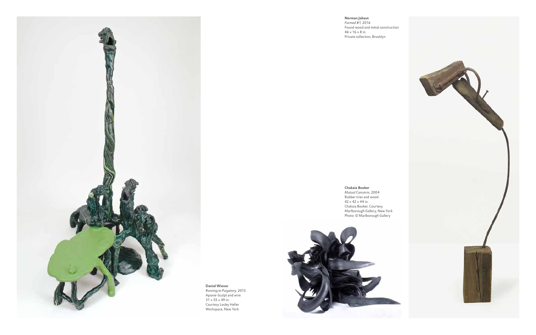**Chakaia Booker** *Mutual Concerns*, 2004 Rubber tires and wood  $42 \times 42 \times 44$  in. Chakaia Booker, Courtesy Marlborough Gallery, New York Photo: © Marlborough Gallery





**Norman Jabaut** *Farmed #1*, 2016 Found wood and metal construction  $46 \times 16 \times 8$  in. Private collection, Brooklyn

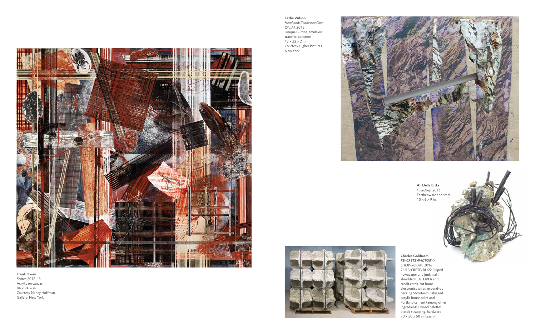## **Frank Owen** *Krater*, 2012–13 Acrylic on canvas 84 × 94 ½ in.

Courtesy Nancy Hoffman Gallery, New York





**Ali Della Bitta** *Failed Rift* 2016 Earthenware and steel  $10 \times 6 \times 9$  in.



**Letha Wilson** *Headlands Tennessee Cove (Slash)*, 2015 Unique C-Print, emulsion transfer, concrete  $18 \times 22 \times 2$  in. Courtesy Higher Pictures, New York



**Charles Goldmam** *RE>CRETE>FACTORY> SHOWROOM*, 2016 24 RE>CRETE>BLKS: Pulped newspaper and junk mail, shredded CDs, DVDs and credit cards, cut home electronics wires, ground-up packing Styrofoam, salvaged acrylic house paint and Portland cement (among other ingredients), wood palettes, plastic strapping, hardware 70 × 50 × 50 in. (each)

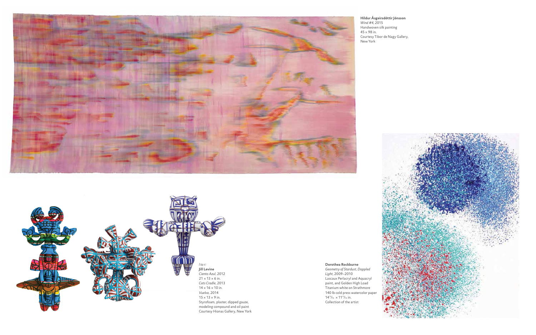### **Hildur Ásgeirsdóttir Jónsson** *Wind #4*, 2015 Handwoven silk painting  $45 \times 98$  in. Courtesy Tibor de Nagy Gallery, New York



**Dorothea Rockburne**

*Geometry of Stardust, Dappled Light*, 2009–2010 Lascaux Perlacryl and Aquacryl paint, and Golden High Load Titanium white on Strathmore 140 lb cold press watercolor paper 1411⁄16 × 1111⁄16 in. Collection of the artist



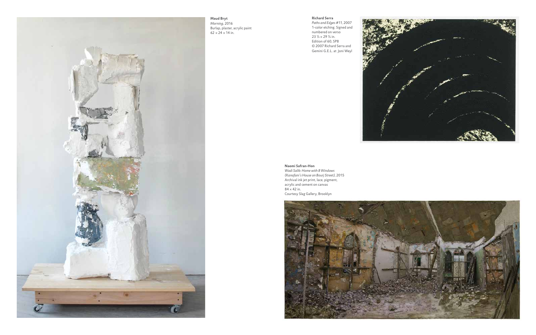# **Richard Serra**

*Paths and Edges #11*, 2007 1-color etching. Signed and numbered on verso 23 ½ × 29 ½ in. Edition of 60, SP8 © 2007 Richard Serra and Gemini G.E.L. at Joni Weyl



# **Naomi Safran-Hon**

*Morning*, 2016 Burlap, plaster, acrylic paint  $62 \times 24 \times 14$  in.

> *Wadi Salib: Home with 8 Windows (Kanafani's House on Bourj Street)*, 2015 Archival ink jet print, lace, pigment, acrylic and cement on canvas  $84 \times 42$  in. Courtesy Slag Gallery, Brooklyn





**Maud Bryt**